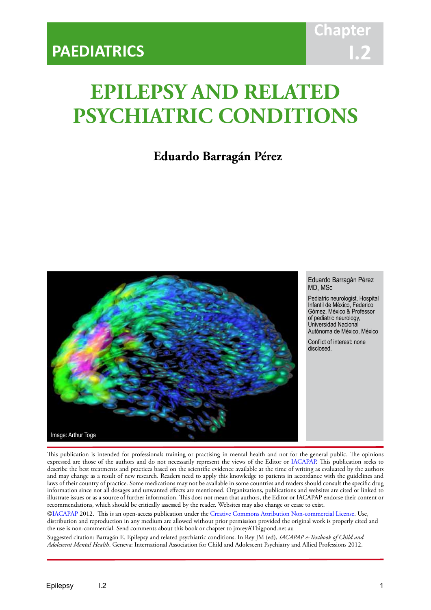# **EPILEPSY AND RELATED PSYCHIATRIC CONDITIONS**

IACAPAP Textbook of Child and Adolescent Mental Health

# **Eduardo Barragán Pérez**



Eduardo Barragán Pérez MD, MSc

Pediatric neurologist, Hospital Infantil de México, Federico Gómez, México & Professor of pediatric neurology, Universidad Nacional Autónoma de México, México

Conflict of interest: none disclosed.

This publication is intended for professionals training or practising in mental health and not for the general public. The opinions expressed are those of the authors and do not necessarily represent the views of the Editor or IACAPAP. This publication seeks to describe the best treatments and practices based on the scientific evidence available at the time of writing as evaluated by the authors and may change as a result of new research. Readers need to apply this knowledge to patients in accordance with the guidelines and laws of their country of practice. Some medications may not be available in some countries and readers should consult the specific drug information since not all dosages and unwanted effects are mentioned. Organizations, publications and websites are cited or linked to illustrate issues or as a source of further information. This does not mean that authors, the Editor or IACAPAP endorse their content or recommendations, which should be critically assessed by the reader. Websites may also change or cease to exist.

[©IACAPAP](http://iacapap.org) 2012. This is an open-access publication under the [Creative Commons Attribution Non-commercial License](http://creativecommons.org). Use, distribution and reproduction in any medium are allowed without prior permission provided the original work is properly cited and the use is non-commercial. Send comments about this book or chapter to jmreyATbigpond.net.au

Suggested citation: Barragán E. Epilepsy and related psychiatric conditions. In Rey JM (ed), *IACAPAP e-Textbook of Child and Adolescent Mental Health*. Geneva: International Association for Child and Adolescent Psychiatry and Allied Professions 2012.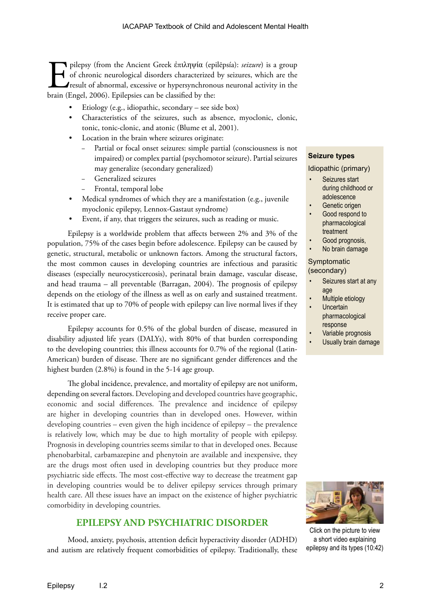F pilepsy (from the Ancient Greek ἐπιληψία (epilēpsía): *seizure*) is a group of chronic neurological disorders characterized by seizures, which are the result of abnormal, excessive or hypersynchronous neuronal activity of chronic neurological disorders characterized by seizures, which are the result of abnormal, excessive or hypersynchronous neuronal activity in the brain (Engel, 2006). Epilepsies can be classified by the:

- Etiology (e.g., idiopathic, secondary see side box)
- Characteristics of the seizures, such as absence, myoclonic, clonic, tonic, tonic-clonic, and atonic (Blume et al, 2001).
- Location in the brain where seizures originate:
	- − Partial or focal onset seizures: simple partial (consciousness is not impaired) or complex partial (psychomotor seizure). Partial seizures may generalize (secondary generalized)
	- Generalized seizures
	- Frontal, temporal lobe
- Medical syndromes of which they are a manifestation (e.g., juvenile myoclonic epilepsy, Lennox-Gastaut syndrome)
- Event, if any, that triggers the seizures, such as reading or music.

Epilepsy is a worldwide problem that affects between 2% and 3% of the population, 75% of the cases begin before adolescence. Epilepsy can be caused by genetic, structural, metabolic or unknown factors. Among the structural factors, the most common causes in developing countries are infectious and parasitic diseases (especially neurocysticercosis), perinatal brain damage, vascular disease, and head trauma – all preventable (Barragan, 2004). The prognosis of epilepsy depends on the etiology of the illness as well as on early and sustained treatment. It is estimated that up to 70% of people with epilepsy can live normal lives if they receive proper care.

Epilepsy accounts for 0.5% of the global burden of disease, measured in disability adjusted life years (DALYs), with 80% of that burden corresponding to the developing countries; this illness accounts for 0.7% of the regional (Latin-American) burden of disease. There are no significant gender differences and the highest burden (2.8%) is found in the 5-14 age group.

The global incidence, prevalence, and mortality of epilepsy are not uniform, depending on several factors. Developing and developed countries have geographic, economic and social differences. The prevalence and incidence of epilepsy are higher in developing countries than in developed ones. However, within developing countries – even given the high incidence of epilepsy – the prevalence is relatively low, which may be due to high mortality of people with epilepsy. Prognosis in developing countries seems similar to that in developed ones. Because phenobarbital, carbamazepine and phenytoin are available and inexpensive, they are the drugs most often used in developing countries but they produce more psychiatric side effects. The most cost-effective way to decrease the treatment gap in developing countries would be to deliver epilepsy services through primary health care. All these issues have an impact on the existence of higher psychiatric comorbidity in developing countries.

# **EPILEPSY AND PSYCHIATRIC DISORDER**

Mood, anxiety, psychosis, attention deficit hyperactivity disorder (ADHD) and autism are relatively frequent comorbidities of epilepsy. Traditionally, these

# **Seizure types**

#### Idiopathic (primary)

- Seizures start during childhood or adolescence
- Genetic origen
- Good respond to pharmacological treatment
- Good prognosis,
- No brain damage

# Symptomatic (secondary)

- Seizures start at any age
- Multiple etiology
- **Uncertain** pharmacological response
- Variable prognosis
- Usually brain damage



Click on the picture to view a short video explaining epilepsy and its types (10:42)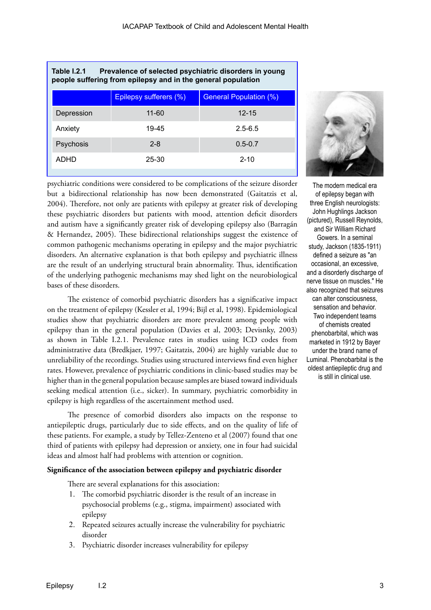| Table I.2.1<br>Prevalence of selected psychiatric disorders in young<br>people suffering from epilepsy and in the general population |                        |                               |  |  |
|--------------------------------------------------------------------------------------------------------------------------------------|------------------------|-------------------------------|--|--|
|                                                                                                                                      | Epilepsy sufferers (%) | <b>General Population (%)</b> |  |  |
| Depression                                                                                                                           | $11 - 60$              | $12 - 15$                     |  |  |
| Anxiety                                                                                                                              | 19-45                  | $2.5 - 6.5$                   |  |  |
| Psychosis                                                                                                                            | $2 - 8$                | $0.5 - 0.7$                   |  |  |
| ADHD                                                                                                                                 | 25-30                  | $2 - 10$                      |  |  |

**Table I.2.1 Prevalence of selected psychiatric disorders in young** 

psychiatric conditions were considered to be complications of the seizure disorder but a bidirectional relationship has now been demonstrated (Gaitatzis et al, 2004). Therefore, not only are patients with epilepsy at greater risk of developing these psychiatric disorders but patients with mood, attention deficit disorders and autism have a significantly greater risk of developing epilepsy also (Barragán & Hernandez, 2005). These bidirectional relationships suggest the existence of common pathogenic mechanisms operating in epilepsy and the major psychiatric disorders. An alternative explanation is that both epilepsy and psychiatric illness are the result of an underlying structural brain abnormality. Thus, identification of the underlying pathogenic mechanisms may shed light on the neurobiological bases of these disorders.

The existence of comorbid psychiatric disorders has a significative impact on the treatment of epilepsy (Kessler et al, 1994; Bijl et al, 1998). Epidemiological studies show that psychiatric disorders are more prevalent among people with epilepsy than in the general population (Davies et al, 2003; Devisnky, 2003) as shown in Table I.2.1. Prevalence rates in studies using ICD codes from administrative data (Bredkjaer, 1997; Gaitatzis, 2004) are highly variable due to unreliability of the recordings. Studies using structured interviews find even higher rates. However, prevalence of psychiatric conditions in clinic-based studies may be higher than in the general population because samples are biased toward individuals seeking medical attention (i.e., sicker). In summary, psychiatric comorbidity in epilepsy is high regardless of the ascertainment method used.

The presence of comorbid disorders also impacts on the response to antiepileptic drugs, particularly due to side effects, and on the quality of life of these patients. For example, a study by Tellez-Zenteno et al (2007) found that one third of patients with epilepsy had depression or anxiety, one in four had suicidal ideas and almost half had problems with attention or cognition.

# **Significance of the association between epilepsy and psychiatric disorder**

There are several explanations for this association:

- 1. The comorbid psychiatric disorder is the result of an increase in psychosocial problems (e.g., stigma, impairment) associated with epilepsy
- 2. Repeated seizures actually increase the vulnerability for psychiatric disorder
- 3. Psychiatric disorder increases vulnerability for epilepsy



The modern medical era of epilepsy began with three English neurologists: John Hughlings Jackson (pictured), Russell Reynolds, and Sir William Richard Gowers. In a seminal study, Jackson (1835-1911) defined a seizure as "an occasional, an excessive, and a disorderly discharge of nerve tissue on muscles." He also recognized that seizures can alter consciousness, sensation and behavior. Two independent teams of chemists created phenobarbital, which was marketed in 1912 by Bayer under the brand name of Luminal. Phenobarbital is the oldest antiepileptic drug and is still in clinical use.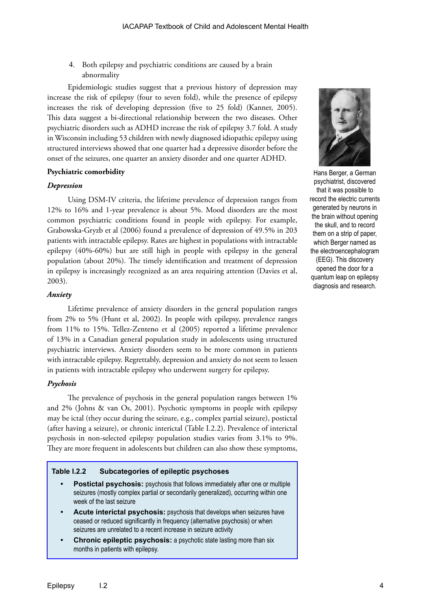4. Both epilepsy and psychiatric conditions are caused by a brain abnormality

Epidemiologic studies suggest that a previous history of depression may increase the risk of epilepsy (four to seven fold), while the presence of epilepsy increases the risk of developing depression (five to 25 fold) (Kanner, 2005). This data suggest a bi-directional relationship between the two diseases. Other psychiatric disorders such as ADHD increase the risk of epilepsy 3.7 fold. A study in Wisconsin including 53 children with newly diagnosed idiopathic epilepsy using structured interviews showed that one quarter had a depressive disorder before the onset of the seizures, one quarter an anxiety disorder and one quarter ADHD.

# **Psychiatric comorbidity**

# *Depression*

Using DSM-IV criteria, the lifetime prevalence of depression ranges from 12% to 16% and 1-year prevalence is about 5%. Mood disorders are the most common psychiatric conditions found in people with epilepsy. For example, Grabowska-Gryzb et al (2006) found a prevalence of depression of 49.5% in 203 patients with intractable epilepsy. Rates are highest in populations with intractable epilepsy (40%-60%) but are still high in people with epilepsy in the general population (about 20%). The timely identification and treatment of depression in epilepsy is increasingly recognized as an area requiring attention (Davies et al, 2003).

# *Anxiety*

Lifetime prevalence of anxiety disorders in the general population ranges from 2% to 5% (Hunt et al, 2002). In people with epilepsy, prevalence ranges from 11% to 15%. Tellez-Zenteno et al (2005) reported a lifetime prevalence of 13% in a Canadian general population study in adolescents using structured psychiatric interviews. Anxiety disorders seem to be more common in patients with intractable epilepsy. Regrettably, depression and anxiety do not seem to lessen in patients with intractable epilepsy who underwent surgery for epilepsy.

# *Psychosis*

The prevalence of psychosis in the general population ranges between 1% and 2% (Johns & van Os, 2001). Psychotic symptoms in people with epilepsy may be ictal (they occur during the seizure, e.g., complex partial seizure), postictal (after having a seizure), or chronic interictal (Table I.2.2). Prevalence of interictal psychosis in non-selected epilepsy population studies varies from 3.1% to 9%. They are more frequent in adolescents but children can also show these symptoms,

# **Table I.2.2 Subcategories of epileptic psychoses**

- **• Postictal psychosis:** psychosis that follows immediately after one or multiple seizures (mostly complex partial or secondarily generalized), occurring within one week of the last seizure
- **• Acute interictal psychosis:** psychosis that develops when seizures have ceased or reduced significantly in frequency (alternative psychosis) or when seizures are unrelated to a recent increase in seizure activity
- **Chronic epileptic psychosis:** a psychotic state lasting more than six months in patients with epilepsy.



Hans Berger, a German psychiatrist, discovered that it was possible to record the electric currents generated by neurons in the brain without opening the skull, and to record them on a strip of paper, which Berger named as the electroencephalogram (EEG). This discovery opened the door for a quantum leap on epilepsy diagnosis and research.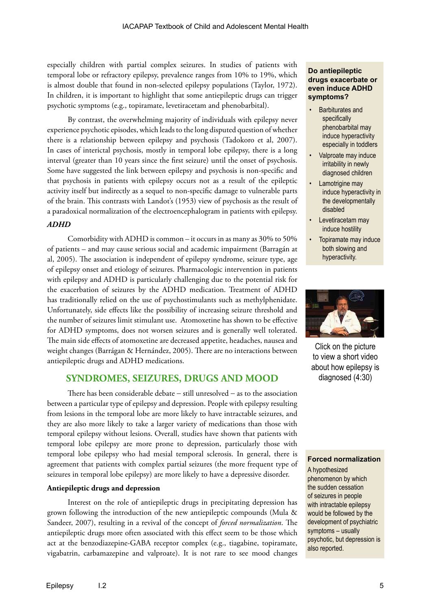especially children with partial complex seizures. In studies of patients with temporal lobe or refractory epilepsy, prevalence ranges from 10% to 19%, which is almost double that found in non-selected epilepsy populations (Taylor, 1972). In children, it is important to highlight that some antiepileptic drugs can trigger psychotic symptoms (e.g., topiramate, levetiracetam and phenobarbital).

By contrast, the overwhelming majority of individuals with epilepsy never experience psychotic episodes, which leads to the long disputed question of whether there is a relationship between epilepsy and psychosis (Tadokoro et al, 2007). In cases of interictal psychosis, mostly in temporal lobe epilepsy, there is a long interval (greater than 10 years since the first seizure) until the onset of psychosis. Some have suggested the link between epilepsy and psychosis is non-specific and that psychosis in patients with epilepsy occurs not as a result of the epileptic activity itself but indirectly as a sequel to non-specific damage to vulnerable parts of the brain. This contrasts with Landot's (1953) view of psychosis as the result of a paradoxical normalization of the electroencephalogram in patients with epilepsy.

# *ADHD*

Comorbidity with ADHD is common – it occurs in as many as 30% to 50% of patients – and may cause serious social and academic impairment (Barragán at al, 2005). The association is independent of epilepsy syndrome, seizure type, age of epilepsy onset and etiology of seizures. Pharmacologic intervention in patients with epilepsy and ADHD is particularly challenging due to the potential risk for the exacerbation of seizures by the ADHD medication. Treatment of ADHD has traditionally relied on the use of psychostimulants such as methylphenidate. Unfortunately, side effects like the possibility of increasing seizure threshold and the number of seizures limit stimulant use. Atomoxetine has shown to be effective for ADHD symptoms, does not worsen seizures and is generally well tolerated. The main side effects of atomoxetine are decreased appetite, headaches, nausea and weight changes (Barrágan & Hernández, 2005). There are no interactions between antiepileptic drugs and ADHD medications.

# **SYNDROMES, SEIZURES, DRUGS AND MOOD**

There has been considerable debate − still unresolved − as to the association between a particular type of epilepsy and depression. People with epilepsy resulting from lesions in the temporal lobe are more likely to have intractable seizures, and they are also more likely to take a larger variety of medications than those with temporal epilepsy without lesions. Overall, studies have shown that patients with temporal lobe epilepsy are more prone to depression, particularly those with temporal lobe epilepsy who had mesial temporal sclerosis. In general, there is agreement that patients with complex partial seizures (the more frequent type of seizures in temporal lobe epilepsy) are more likely to have a depressive disorder.

# **Antiepileptic drugs and depression**

Interest on the role of antiepileptic drugs in precipitating depression has grown following the introduction of the new antiepileptic compounds (Mula & Sandeer, 2007), resulting in a revival of the concept of *forced normalization*. The antiepileptic drugs more often associated with this effect seem to be those which act at the benzodiazepine-GABA receptor complex (e.g., tiagabine, topiramate, vigabatrin, carbamazepine and valproate). It is not rare to see mood changes

# **Do antiepileptic drugs exacerbate or even induce ADHD symptoms?**

- Barbiturates and specifically phenobarbital may induce hyperactivity especially in toddlers
- Valproate may induce irritability in newly diagnosed children
- Lamotrigine may induce hyperactivity in the developmentally disabled
- Levetiracetam may induce hostility
- Topiramate may induce both slowing and hyperactivity.



Click on the picture to view a short video about how epilepsy is diagnosed (4:30)

# **Forced normalization**

A hypothesized phenomenon by which the sudden cessation of seizures in people with intractable epilepsy would be followed by the development of psychiatric symptoms – usually psychotic, but depression is also reported.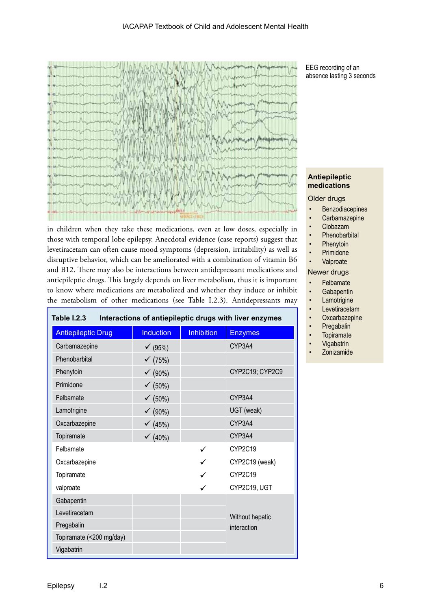

in children when they take these medications, even at low doses, especially in those with temporal lobe epilepsy. Anecdotal evidence (case reports) suggest that levetiracetam can often cause mood symptoms (depression, irritability) as well as disruptive behavior, which can be ameliorated with a combination of vitamin B6 and B12. There may also be interactions between antidepressant medications and antiepileptic drugs. This largely depends on liver metabolism, thus it is important to know where medications are metabolized and whether they induce or inhibit the metabolism of other medications (see Table I.2.3). Antidepressants may

| Table I.2.3<br>Interactions of antiepileptic drugs with liver enzymes |                    |                   |                 |  |
|-----------------------------------------------------------------------|--------------------|-------------------|-----------------|--|
| <b>Antiepileptic Drug</b>                                             | <b>Induction</b>   | <b>Inhibition</b> | <b>Enzymes</b>  |  |
| Carbamazepine                                                         | $\checkmark$ (95%) |                   | CYP3A4          |  |
| Phenobarbital                                                         | $\checkmark$ (75%) |                   |                 |  |
| Phenytoin                                                             | √(90%)             |                   | CYP2C19; CYP2C9 |  |
| Primidone                                                             | $\checkmark$ (50%) |                   |                 |  |
| Felbamate                                                             | $\checkmark$ (50%) |                   | CYP3A4          |  |
| Lamotrigine                                                           | √(90%)             |                   | UGT (weak)      |  |
| Oxcarbazepine                                                         | ← $(45%)$          |                   | CYP3A4          |  |
| Topiramate                                                            | $(40\%)$           |                   | CYP3A4          |  |
| Felbamate                                                             |                    |                   | CYP2C19         |  |
| Oxcarbazepine                                                         |                    |                   | CYP2C19 (weak)  |  |
| Topiramate                                                            |                    |                   | CYP2C19         |  |
| valproate                                                             |                    |                   | CYP2C19, UGT    |  |
| Gabapentin                                                            |                    |                   |                 |  |
| Levetiracetam                                                         |                    |                   | Without hepatic |  |
| Pregabalin                                                            |                    |                   | interaction     |  |
| Topiramate (<200 mg/day)                                              |                    |                   |                 |  |
| Vigabatrin                                                            |                    |                   |                 |  |

EEG recording of an absence lasting 3 seconds

# **Antiepileptic medications**

# Older drugs

- **Benzodiacepines**
- Carbamazepine
- Clobazam
- **Phenobarbital**
- **Phenytoin**
- **Primidone**
- **Valproate**

#### Newer drugs

- Felbamate
- **Gabapentin**
- Lamotrigine
- **Levetiracetam**
- **Oxcarbazepine**
- **Pregabalin**
- **Topiramate**
- **Vigabatrin**
- Zonizamide

Г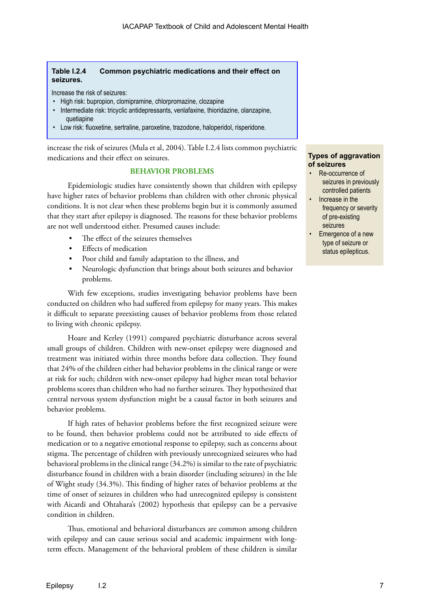# **Table I.2.4 Common psychiatric medications and their effect on seizures.**

Increase the risk of seizures:

- High risk: bupropion, clomipramine, chlorpromazine, clozapine
- Intermediate risk: tricyclic antidepressants, venlafaxine, thioridazine, olanzapine, quetiapine
- Low risk: fluoxetine, sertraline, paroxetine, trazodone, haloperidol, risperidone.

increase the risk of seizures (Mula et al, 2004). Table I.2.4 lists common psychiatric medications and their effect on seizures.

# **BEHAVIOR PROBLEMS**

Epidemiologic studies have consistently shown that children with epilepsy have higher rates of behavior problems than children with other chronic physical conditions. It is not clear when these problems begin but it is commonly assumed that they start after epilepsy is diagnosed. The reasons for these behavior problems are not well understood either. Presumed causes include:

- The effect of the seizures themselves
- Effects of medication
- Poor child and family adaptation to the illness, and
- Neurologic dysfunction that brings about both seizures and behavior problems.

With few exceptions, studies investigating behavior problems have been conducted on children who had suffered from epilepsy for many years. This makes it difficult to separate preexisting causes of behavior problems from those related to living with chronic epilepsy.

Hoare and Kerley (1991) compared psychiatric disturbance across several small groups of children. Children with new-onset epilepsy were diagnosed and treatment was initiated within three months before data collection. They found that 24% of the children either had behavior problems in the clinical range or were at risk for such; children with new-onset epilepsy had higher mean total behavior problems scores than children who had no further seizures. They hypothesized that central nervous system dysfunction might be a causal factor in both seizures and behavior problems.

If high rates of behavior problems before the first recognized seizure were to be found, then behavior problems could not be attributed to side effects of medication or to a negative emotional response to epilepsy, such as concerns about stigma. The percentage of children with previously unrecognized seizures who had behavioral problems in the clinical range (34.2%) is similar to the rate of psychiatric disturbance found in children with a brain disorder (including seizures) in the Isle of Wight study (34.3%). This finding of higher rates of behavior problems at the time of onset of seizures in children who had unrecognized epilepsy is consistent with Aicardi and Ohtahara's (2002) hypothesis that epilepsy can be a pervasive condition in children.

Thus, emotional and behavioral disturbances are common among children with epilepsy and can cause serious social and academic impairment with longterm effects. Management of the behavioral problem of these children is similar

# **Types of aggravation of seizures**

- Re-occurrence of seizures in previously controlled patients
- Increase in the frequency or severity of pre-existing seizures
- Emergence of a new type of seizure or status epilepticus.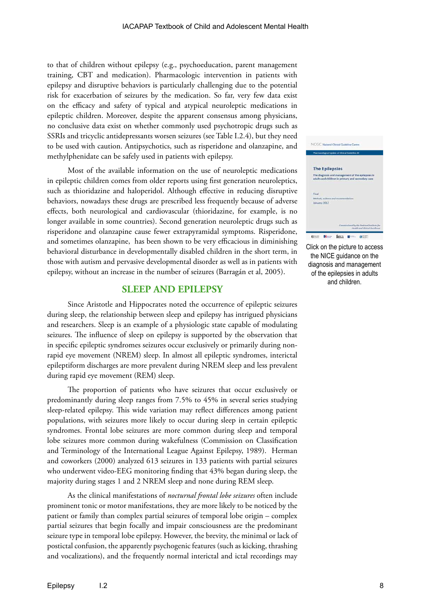to that of children without epilepsy (e.g., psychoeducation, parent management training, CBT and medication). Pharmacologic intervention in patients with epilepsy and disruptive behaviors is particularly challenging due to the potential risk for exacerbation of seizures by the medication. So far, very few data exist on the efficacy and safety of typical and atypical neuroleptic medications in epileptic children. Moreover, despite the apparent consensus among physicians, no conclusive data exist on whether commonly used psychotropic drugs such as SSRIs and tricyclic antidepressants worsen seizures (see Table I.2.4), but they need to be used with caution. Antipsychotics, such as risperidone and olanzapine, and methylphenidate can be safely used in patients with epilepsy.

Most of the available information on the use of neuroleptic medications in epileptic children comes from older reports using first generation neuroleptics, such as thioridazine and haloperidol. Although effective in reducing disruptive behaviors, nowadays these drugs are prescribed less frequently because of adverse effects, both neurological and cardiovascular (thioridazine, for example, is no longer available in some countries). Second generation neuroleptic drugs such as risperidone and olanzapine cause fewer extrapyramidal symptoms. Risperidone, and sometimes olanzapine, has been shown to be very efficacious in diminishing behavioral disturbance in developmentally disabled children in the short term, in those with autism and pervasive developmental disorder as well as in patients with epilepsy, without an increase in the number of seizures (Barragán et al, 2005).

# **SLEEP AND EPILEPSY**

Since Aristotle and Hippocrates noted the occurrence of epileptic seizures during sleep, the relationship between sleep and epilepsy has intrigued physicians and researchers. Sleep is an example of a physiologic state capable of modulating seizures. The influence of sleep on epilepsy is supported by the observation that in specific epileptic syndromes seizures occur exclusively or primarily during nonrapid eye movement (NREM) sleep. In almost all epileptic syndromes, interictal epileptiform discharges are more prevalent during NREM sleep and less prevalent during rapid eye movement (REM) sleep.

The proportion of patients who have seizures that occur exclusively or predominantly during sleep ranges from 7.5% to 45% in several series studying sleep-related epilepsy. This wide variation may reflect differences among patient populations, with seizures more likely to occur during sleep in certain epileptic syndromes. Frontal lobe seizures are more common during sleep and temporal lobe seizures more common during wakefulness (Commission on Classification and Terminology of the International League Against Epilepsy, 1989). Herman and coworkers (2000) analyzed 613 seizures in 133 patients with partial seizures who underwent video-EEG monitoring finding that 43% began during sleep, the majority during stages 1 and 2 NREM sleep and none during REM sleep.

As the clinical manifestations of *nocturnal frontal lobe seizures* often include prominent tonic or motor manifestations, they are more likely to be noticed by the patient or family than complex partial seizures of temporal lobe origin – complex partial seizures that begin focally and impair consciousness are the predominant seizure type in temporal lobe epilepsy. However, the brevity, the minimal or lack of postictal confusion, the apparently psychogenic features (such as kicking, thrashing and vocalizations), and the frequently normal interictal and ictal recordings may



Click on the picture to access the NICE guidance on the diagnosis and management of the epilepsies in adults and children.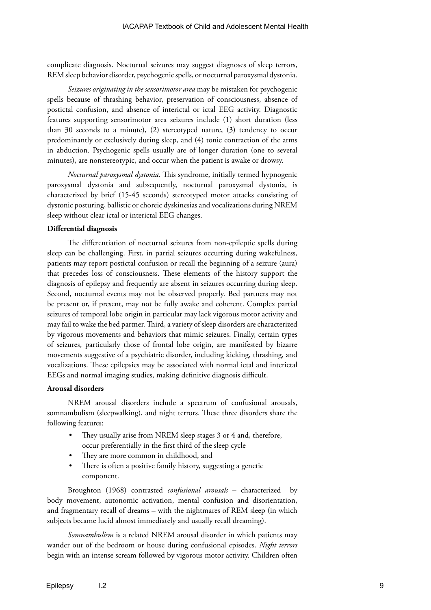complicate diagnosis. Nocturnal seizures may suggest diagnoses of sleep terrors, REM sleep behavior disorder, psychogenic spells, or nocturnal paroxysmal dystonia.

*Seizures originating in the sensorimotor area* may be mistaken for psychogenic spells because of thrashing behavior, preservation of consciousness, absence of postictal confusion, and absence of interictal or ictal EEG activity. Diagnostic features supporting sensorimotor area seizures include (1) short duration (less than 30 seconds to a minute), (2) stereotyped nature, (3) tendency to occur predominantly or exclusively during sleep, and (4) tonic contraction of the arms in abduction. Psychogenic spells usually are of longer duration (one to several minutes), are nonstereotypic, and occur when the patient is awake or drowsy.

*Nocturnal paroxysmal dystonia.* This syndrome, initially termed hypnogenic paroxysmal dystonia and subsequently, nocturnal paroxysmal dystonia, is characterized by brief (15-45 seconds) stereotyped motor attacks consisting of dystonic posturing, ballistic or choreic dyskinesias and vocalizations during NREM sleep without clear ictal or interictal EEG changes.

#### **Differential diagnosis**

The differentiation of nocturnal seizures from non-epileptic spells during sleep can be challenging. First, in partial seizures occurring during wakefulness, patients may report postictal confusion or recall the beginning of a seizure (aura) that precedes loss of consciousness. These elements of the history support the diagnosis of epilepsy and frequently are absent in seizures occurring during sleep. Second, nocturnal events may not be observed properly. Bed partners may not be present or, if present, may not be fully awake and coherent. Complex partial seizures of temporal lobe origin in particular may lack vigorous motor activity and may fail to wake the bed partner. Third, a variety of sleep disorders are characterized by vigorous movements and behaviors that mimic seizures. Finally, certain types of seizures, particularly those of frontal lobe origin, are manifested by bizarre movements suggestive of a psychiatric disorder, including kicking, thrashing, and vocalizations. These epilepsies may be associated with normal ictal and interictal EEGs and normal imaging studies, making definitive diagnosis difficult.

### **Arousal disorders**

NREM arousal disorders include a spectrum of confusional arousals, somnambulism (sleepwalking), and night terrors. These three disorders share the following features:

- They usually arise from NREM sleep stages 3 or 4 and, therefore, occur preferentially in the first third of the sleep cycle
- They are more common in childhood, and
- There is often a positive family history, suggesting a genetic component.

Broughton (1968) contrasted *confusional arousals* – characterized by body movement, autonomic activation, mental confusion and disorientation, and fragmentary recall of dreams – with the nightmares of REM sleep (in which subjects became lucid almost immediately and usually recall dreaming).

*Somnambulism* is a related NREM arousal disorder in which patients may wander out of the bedroom or house during confusional episodes. *Night terrors* begin with an intense scream followed by vigorous motor activity. Children often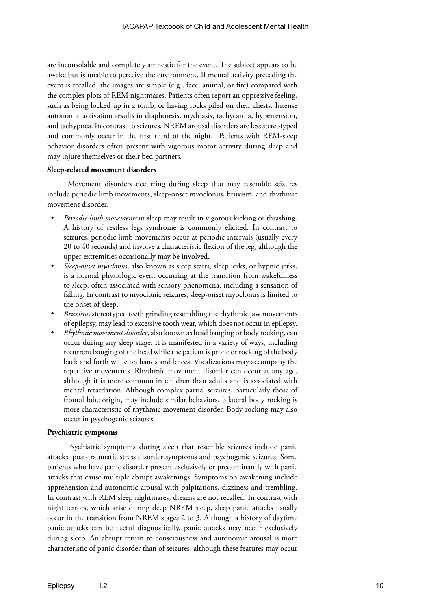are inconsolable and completely amnestic for the event. The subject appears to be awake but is unable to perceive the environment. If mental activity preceding the event is recalled, the images are simple (e.g., face, animal, or fire) compared with the complex plots of REM nightmares. Patients often report an oppressive feeling, such as being locked up in a tomb, or having rocks piled on their chests. Intense autonomic activation results in diaphoresis, mydriasis, tachycardia, hypertension, and tachypnea. In contrast to seizures, NREM arousal disorders are less stereotyped and commonly occur in the first third of the night. Patients with REM-sleep behavior disorders often present with vigorous motor activity during sleep and may injure themselves or their bed partners.

# **Sleep-related movement disorders**

Movement disorders occurring during sleep that may resemble seizures include periodic limb movements, sleep-onset myoclonus, bruxism, and rhythmic movement disorder.

- *• Periodic limb movements* in sleep may result in vigorous kicking or thrashing. A history of restless legs syndrome is commonly elicited. In contrast to seizures, periodic limb movements occur at periodic intervals (usually every 20 to 40 seconds) and involve a characteristic flexion of the leg, although the upper extremities occasionally may be involved.
- *• Sleep-onset myoclonus*, also known as sleep starts, sleep jerks, or hypnic jerks, is a normal physiologic event occurring at the transition from wakefulness to sleep, often associated with sensory phenomena, including a sensation of falling. In contrast to myoclonic seizures, sleep-onset myoclonus is limited to the onset of sleep.
- *Bruxism*, stereotyped teeth grinding resembling the rhythmic jaw movements of epilepsy, may lead to excessive tooth wear, which does not occur in epilepsy.
- *• Rhythmic movement disorder*, also known as head banging or body rocking, can occur during any sleep stage. It is manifested in a variety of ways, including recurrent banging of the head while the patient is prone or rocking of the body back and forth while on hands and knees. Vocalizations may accompany the repetitive movements. Rhythmic movement disorder can occur at any age, although it is more common in children than adults and is associated with mental retardation. Although complex partial seizures, particularly those of frontal lobe origin, may include similar behaviors, bilateral body rocking is more characteristic of rhythmic movement disorder. Body rocking may also occur in psychogenic seizures.

# **Psychiatric symptoms**

Psychiatric symptoms during sleep that resemble seizures include panic attacks, post-traumatic stress disorder symptoms and psychogenic seizures. Some patients who have panic disorder present exclusively or predominantly with panic attacks that cause multiple abrupt awakenings. Symptoms on awakening include apprehension and autonomic arousal with palpitations, dizziness and trembling. In contrast with REM sleep nightmares, dreams are not recalled. In contrast with night terrors, which arise during deep NREM sleep, sleep panic attacks usually occur in the transition from NREM stages 2 to 3. Although a history of daytime panic attacks can be useful diagnostically, panic attacks may occur exclusively during sleep. An abrupt return to consciousness and autonomic arousal is more characteristic of panic disorder than of seizures, although these features may occur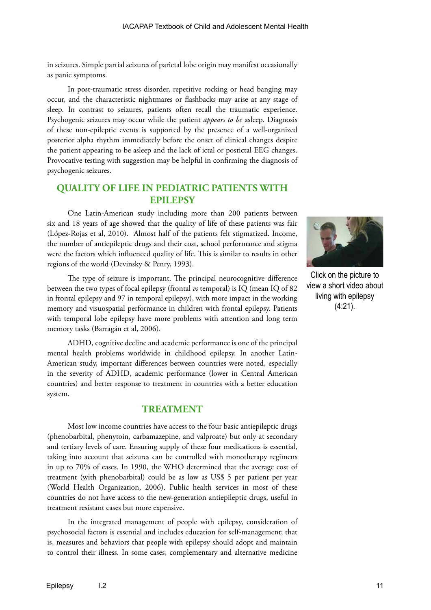in seizures. Simple partial seizures of parietal lobe origin may manifest occasionally as panic symptoms.

In post-traumatic stress disorder, repetitive rocking or head banging may occur, and the characteristic nightmares or flashbacks may arise at any stage of sleep. In contrast to seizures, patients often recall the traumatic experience. Psychogenic seizures may occur while the patient *appears to be* asleep. Diagnosis of these non-epileptic events is supported by the presence of a well-organized posterior alpha rhythm immediately before the onset of clinical changes despite the patient appearing to be asleep and the lack of ictal or postictal EEG changes. Provocative testing with suggestion may be helpful in confirming the diagnosis of psychogenic seizures.

# **QUALITY OF LIFE IN PEDIATRIC PATIENTS WITH EPILEPSY**

One Latin-American study including more than 200 patients between six and 18 years of age showed that the quality of life of these patients was fair (López-Rojas et al, 2010). Almost half of the patients felt stigmatized. Income, the number of antiepileptic drugs and their cost, school performance and stigma were the factors which influenced quality of life. This is similar to results in other regions of the world (Devinsky & Penry, 1993).

The type of seizure is important. The principal neurocognitive difference between the two types of focal epilepsy (frontal *vs* temporal) is IQ (mean IQ of 82 in frontal epilepsy and 97 in temporal epilepsy), with more impact in the working memory and visuospatial performance in children with frontal epilepsy. Patients with temporal lobe epilepsy have more problems with attention and long term memory tasks (Barragán et al, 2006).

ADHD, cognitive decline and academic performance is one of the principal mental health problems worldwide in childhood epilepsy. In another Latin-American study, important differences between countries were noted, especially in the severity of ADHD, academic performance (lower in Central American countries) and better response to treatment in countries with a better education system.

# **TREATMENT**

Most low income countries have access to the four basic antiepileptic drugs (phenobarbital, phenytoin, carbamazepine, and valproate) but only at secondary and tertiary levels of care. Ensuring supply of these four medications is essential, taking into account that seizures can be controlled with monotherapy regimens in up to 70% of cases. In 1990, the WHO determined that the average cost of treatment (with phenobarbital) could be as low as US\$ 5 per patient per year (World Health Organization, 2006). Public health services in most of these countries do not have access to the new-generation antiepileptic drugs, useful in treatment resistant cases but more expensive.

In the integrated management of people with epilepsy, consideration of psychosocial factors is essential and includes education for self-management; that is, measures and behaviors that people with epilepsy should adopt and maintain to control their illness*.* In some cases, complementary and alternative medicine



Click on the picture to view a short video about living with epilepsy (4:21).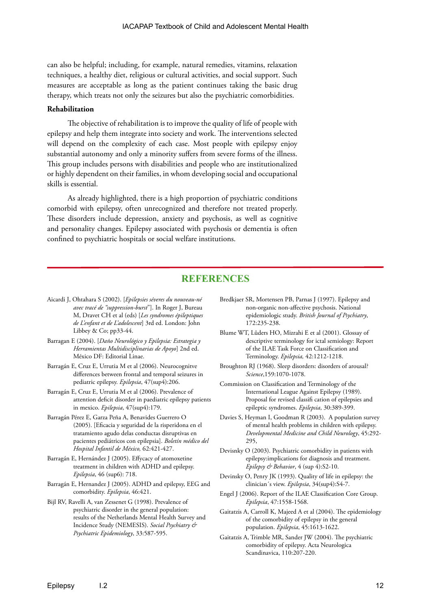can also be helpful; including, for example, natural remedies, vitamins, relaxation techniques, a healthy diet, religious or cultural activities, and social support. Such measures are acceptable as long as the patient continues taking the basic drug therapy, which treats not only the seizures but also the psychiatric comorbidities.

#### **Rehabilitation**

The objective of rehabilitation is to improve the quality of life of people with epilepsy and help them integrate into society and work. The interventions selected will depend on the complexity of each case. Most people with epilepsy enjoy substantial autonomy and only a minority suffers from severe forms of the illness. This group includes persons with disabilities and people who are institutionalized or highly dependent on their families, in whom developing social and occupational skills is essential.

As already highlighted, there is a high proportion of psychiatric conditions comorbid with epilepsy, often unrecognized and therefore not treated properly. These disorders include depression, anxiety and psychosis, as well as cognitive and personality changes. Epilepsy associated with psychosis or dementia is often confined to psychiatric hospitals or social welfare institutions.

# **REFERENCES**

- Aicardi J, Ohtahara S (2002). [*Epilepsies séveres du nouveau-né avec tracé de "suppression-burst*"]. In Roger J, Bureau M, Dravet CH et al (eds) [*Les syndromes épileptiques de L'enfant et de L'adolescent*] 3rd ed. London: John Libbey & Co; pp33-44.
- Barragan E (2004). [*Daño Neurológico y Epilepsia: Estrategia y Herramientas Multidisciplinarias de Apoyo*] 2nd ed. México DF: Editorial Linae.
- Barragán E, Cruz E, Urrutia M et al (2006). Neurocognitve differences between frontal and temporal seizures in pediatric epilepsy. *Epilepsia*, 47(sup4):206.
- Barragán E, Cruz E, Urrutia M et al (2006). Prevalence of attention deficit disorder in paediatric epilepsy patients in mexico. *Epilepsia*, 47(sup4):179.
- Barragán Pérez E, Garza Peña A, Benavides Guerrero O (2005). [Eficacia y seguridad de la risperidona en el tratamiento agudo delas conductas disruptivas en pacientes pediátricos con epilepsia]. *Boletín médico del Hospital Infantil de México,* 62:421-427.
- Barragán E, Hernández J (2005). Effycacy of atomoxetine treatment in children with ADHD and epilepsy. *Epilepsia*, 46 (sup6): 718.
- Barragán E, Hernandez J (2005). ADHD and epilepsy, EEG and comorbidity. *Epilepsia*, 46:421.
- Bijl RV, Ravelli A, van Zessenet G (1998). Prevalence of psychiatric disorder in the general population: results of the Netherlands Mental Health Survey and Incidence Study (NEMESIS). *Social Psychiatry & Psychiatric Epidemiology*, 33:587-595.
- Bredkjaer SR, Mortensen PB, Parnas J (1997). Epilepsy and non-organic non-affective psychosis. National epidemiologic study. *British Journal of Psychiatry*, 172:235-238.
- Blume WT, Lûders HO, Mizrahi E et al (2001). Glossay of descriptive terminology for ictal semiology: Report of the ILAE Task Force on Classification and Terminology. *Epilepsia,* 42:1212-1218.
- Broughton RJ (1968). Sleep disorders: disorders of arousal? *Science*,159:1070-1078.
- Commission on Classification and Terminology of the International League Against Epilepsy (1989). Proposal for revised classifi cation of epilepsies and epileptic syndromes. *Epilepsia*, 30:389-399.
- Davies S, Heyman I, Goodman R (2003). A population survey of mental health problems in children with epilepsy. *Developmental Medicine and Child Neurology*, 45:292- 295,
- Devisnky O (2003). Psychiatric comorbidity in patients with epilepsy:implications for diagnosis and treatment. *Epilepsy & Behavior*, 4 (sup 4):S2-10.
- Devinsky O, Penry JK (1993). Quality of life in epilepsy: the clinician´s view. *Epilepsia*, 34(sup4):S4-7.
- Engel J (2006). Report of the ILAE Classification Core Group. *Epilepsia*, 47:1558-1568.
- Gaitatzis A, Carroll K, Majeed A et al (2004). The epidemiology of the comorbidity of epilepsy in the general population. *Epilepsia*, 45:1613-1622.
- Gaitatzis A, Trimble MR, Sander JW (2004). The psychiatric comorbidity of epilepsy. Acta Neurologica Scandinavica, 110:207-220.